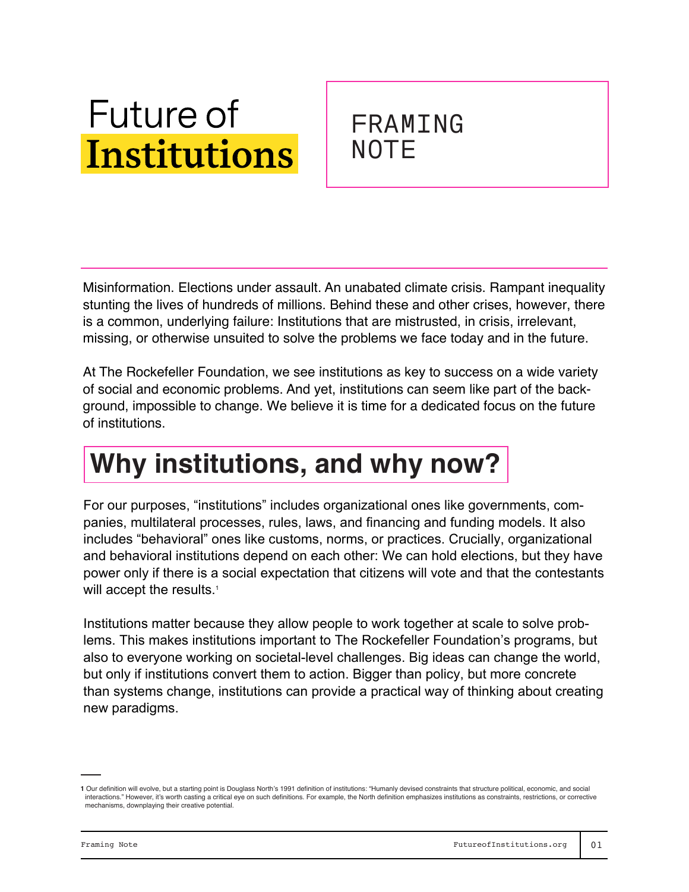# **Future of Institutions**

### FRAMING **NOTE**

Misinformation. Elections under assault. An unabated climate crisis. Rampant inequality stunting the lives of hundreds of millions. Behind these and other crises, however, there is a common, underlying failure: Institutions that are mistrusted, in crisis, irrelevant, missing, or otherwise unsuited to solve the problems we face today and in the future.

At The Rockefeller Foundation, we see institutions as key to success on a wide variety of social and economic problems. And yet, institutions can seem like part of the background, impossible to change. We believe it is time for a dedicated focus on the future of institutions.

## **Why institutions, and why now?**

For our purposes, "institutions" includes organizational ones like governments, companies, multilateral processes, rules, laws, and financing and funding models. It also includes "behavioral" ones like customs, norms, or practices. Crucially, organizational and behavioral institutions depend on each other: We can hold elections, but they have power only if there is a social expectation that citizens will vote and that the contestants will accept the results.<sup>1</sup>

Institutions matter because they allow people to work together at scale to solve problems. This makes institutions important to The Rockefeller Foundation's programs, but also to everyone working on societal-level challenges. Big ideas can change the world, but only if institutions convert them to action. Bigger than policy, but more concrete than systems change, institutions can provide a practical way of thinking about creating new paradigms.

**<sup>1</sup>** Our definition will evolve, but a starting point is Douglass North's 1991 definition of institutions: "Humanly devised constraints that structure political, economic, and social interactions." However, it's worth casting a critical eye on such definitions. For example, the North definition emphasizes institutions as constraints, restrictions, or corrective mechanisms, downplaying their creative potential.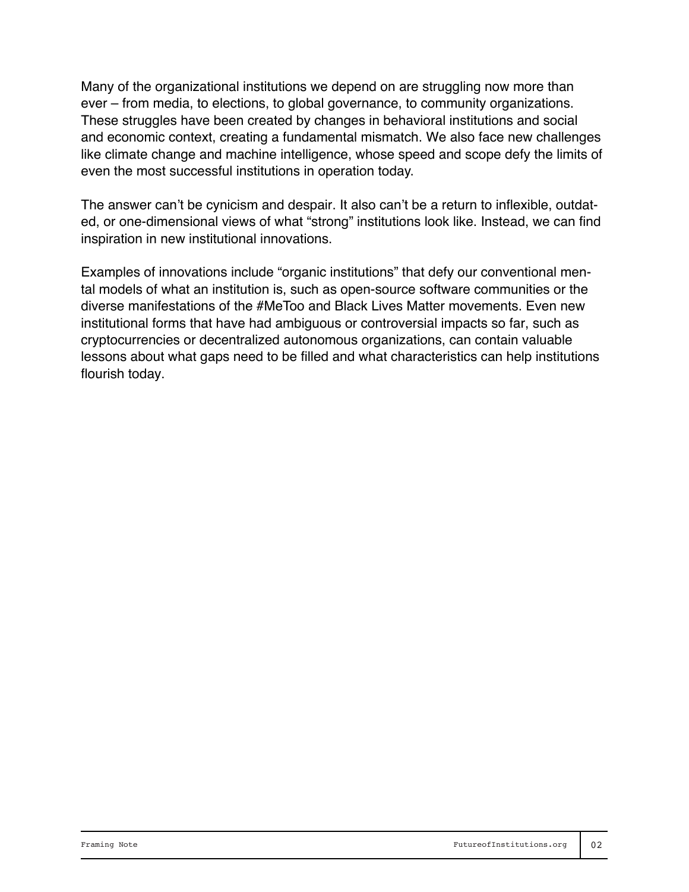Many of the organizational institutions we depend on are struggling now more than ever – from media, to elections, to global governance, to community organizations. These struggles have been created by changes in behavioral institutions and social and economic context, creating a fundamental mismatch. We also face new challenges like climate change and machine intelligence, whose speed and scope defy the limits of even the most successful institutions in operation today.

The answer can't be cynicism and despair. It also can't be a return to inflexible, outdated, or one-dimensional views of what "strong" institutions look like. Instead, we can find inspiration in new institutional innovations.

Examples of innovations include "organic institutions" that defy our conventional mental models of what an institution is, such as open-source software communities or the diverse manifestations of the #MeToo and Black Lives Matter movements. Even new institutional forms that have had ambiguous or controversial impacts so far, such as cryptocurrencies or decentralized autonomous organizations, can contain valuable lessons about what gaps need to be filled and what characteristics can help institutions flourish today.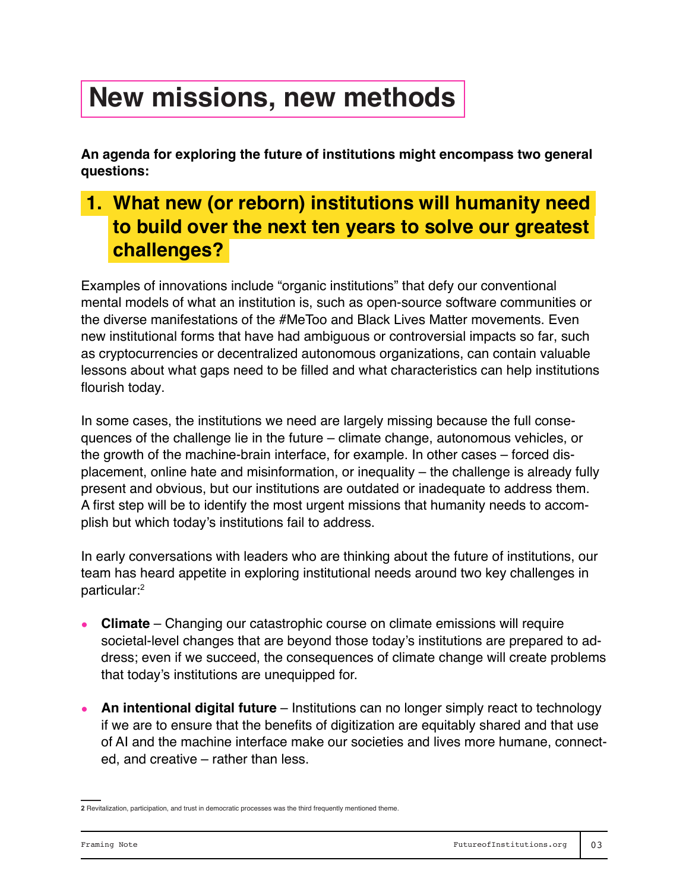### **New missions, new methods**

**An agenda for exploring the future of institutions might encompass two general questions:** 

### **1. What new (or reborn) institutions will humanity need to build over the next ten years to solve our greatest challenges?**

Examples of innovations include "organic institutions" that defy our conventional mental models of what an institution is, such as open-source software communities or the diverse manifestations of the #MeToo and Black Lives Matter movements. Even new institutional forms that have had ambiguous or controversial impacts so far, such as cryptocurrencies or decentralized autonomous organizations, can contain valuable lessons about what gaps need to be filled and what characteristics can help institutions flourish today.

In some cases, the institutions we need are largely missing because the full consequences of the challenge lie in the future – climate change, autonomous vehicles, or the growth of the machine-brain interface, for example. In other cases – forced displacement, online hate and misinformation, or inequality – the challenge is already fully present and obvious, but our institutions are outdated or inadequate to address them. A first step will be to identify the most urgent missions that humanity needs to accomplish but which today's institutions fail to address.

In early conversations with leaders who are thinking about the future of institutions, our team has heard appetite in exploring institutional needs around two key challenges in particular:<sup>2</sup>

- **Climate**  Changing our catastrophic course on climate emissions will require societal-level changes that are beyond those today's institutions are prepared to address; even if we succeed, the consequences of climate change will create problems that today's institutions are unequipped for.
- An intentional digital future Institutions can no longer simply react to technology if we are to ensure that the benefits of digitization are equitably shared and that use of AI and the machine interface make our societies and lives more humane, connected, and creative – rather than less.

**<sup>2</sup>** Revitalization, participation, and trust in democratic processes was the third frequently mentioned theme.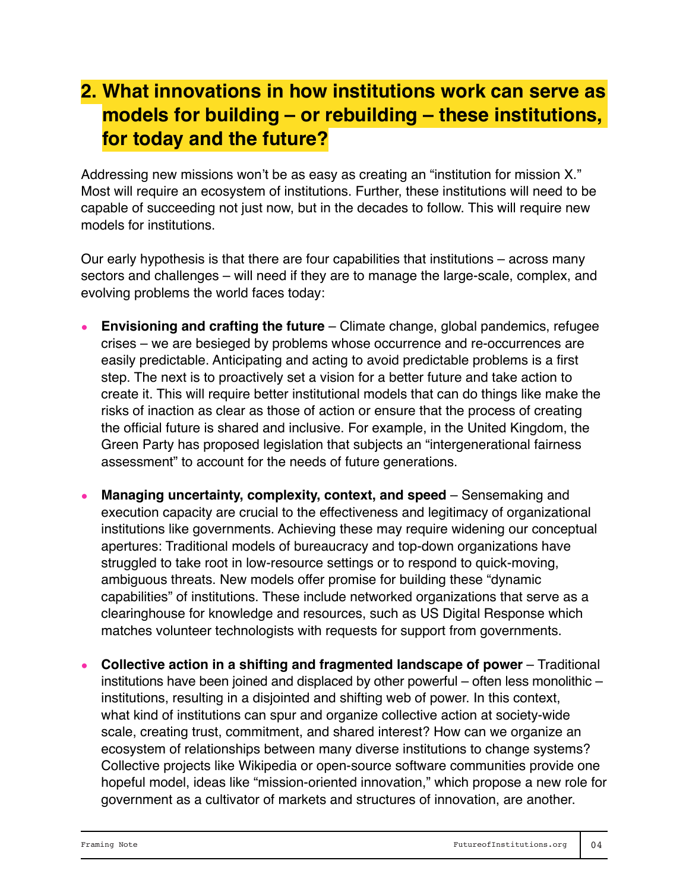### **2. What innovations in how institutions work can serve as models for building – or rebuilding – these institutions, for today and the future?**

Addressing new missions won't be as easy as creating an "institution for mission X." Most will require an ecosystem of institutions. Further, these institutions will need to be capable of succeeding not just now, but in the decades to follow. This will require new models for institutions.

Our early hypothesis is that there are four capabilities that institutions – across many sectors and challenges – will need if they are to manage the large-scale, complex, and evolving problems the world faces today:

- **Envisioning and crafting the future** Climate change, global pandemics, refugee crises – we are besieged by problems whose occurrence and re-occurrences are easily predictable. Anticipating and acting to avoid predictable problems is a first step. The next is to proactively set a vision for a better future and take action to create it. This will require better institutional models that can do things like make the risks of inaction as clear as those of action or ensure that the process of creating the official future is shared and inclusive. For example, in the United Kingdom, the Green Party has proposed legislation that subjects an "intergenerational fairness assessment" to account for the needs of future generations.
- **Managing uncertainty, complexity, context, and speed** Sensemaking and execution capacity are crucial to the effectiveness and legitimacy of organizational institutions like governments. Achieving these may require widening our conceptual apertures: Traditional models of bureaucracy and top-down organizations have struggled to take root in low-resource settings or to respond to quick-moving, ambiguous threats. New models offer promise for building these "dynamic capabilities" of institutions. These include networked organizations that serve as a clearinghouse for knowledge and resources, such as US Digital Response which matches volunteer technologists with requests for support from governments.
- **Collective action in a shifting and fragmented landscape of power** Traditional institutions have been joined and displaced by other powerful – often less monolithic – institutions, resulting in a disjointed and shifting web of power. In this context, what kind of institutions can spur and organize collective action at society-wide scale, creating trust, commitment, and shared interest? How can we organize an ecosystem of relationships between many diverse institutions to change systems? Collective projects like Wikipedia or open-source software communities provide one hopeful model, ideas like "mission-oriented innovation," which propose a new role for government as a cultivator of markets and structures of innovation, are another.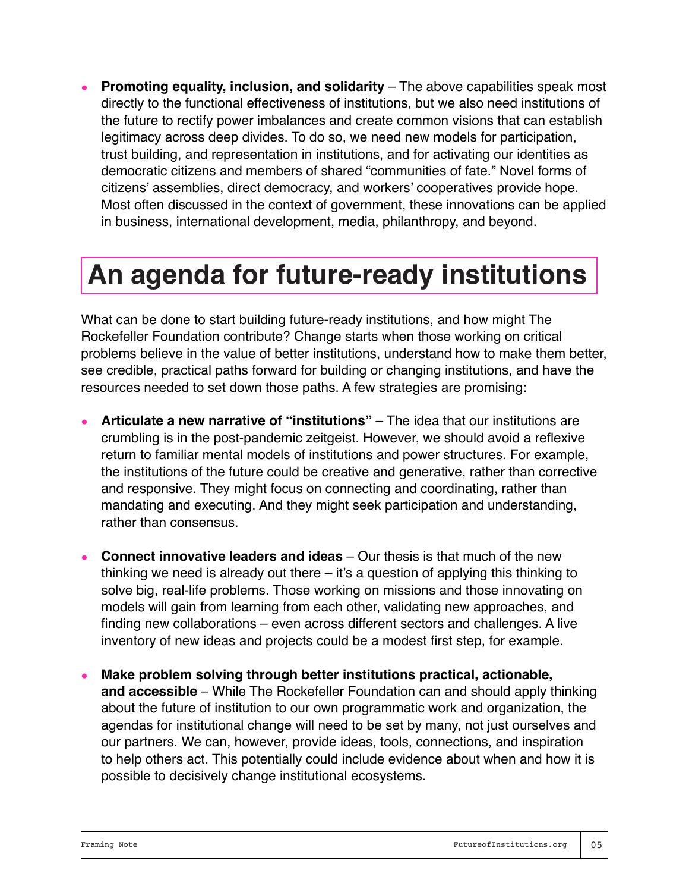**Promoting equality, inclusion, and solidarity** – The above capabilities speak most directly to the functional effectiveness of institutions, but we also need institutions of the future to rectify power imbalances and create common visions that can establish legitimacy across deep divides. To do so, we need new models for participation, trust building, and representation in institutions, and for activating our identities as democratic citizens and members of shared "communities of fate." Novel forms of citizens' assemblies, direct democracy, and workers' cooperatives provide hope. Most often discussed in the context of government, these innovations can be applied in business, international development, media, philanthropy, and beyond.

### **An agenda for future-ready institutions**

What can be done to start building future-ready institutions, and how might The Rockefeller Foundation contribute? Change starts when those working on critical problems believe in the value of better institutions, understand how to make them better, see credible, practical paths forward for building or changing institutions, and have the resources needed to set down those paths. A few strategies are promising:

- **Articulate a new narrative of "institutions"** The idea that our institutions are crumbling is in the post-pandemic zeitgeist. However, we should avoid a reflexive return to familiar mental models of institutions and power structures. For example, the institutions of the future could be creative and generative, rather than corrective and responsive. They might focus on connecting and coordinating, rather than mandating and executing. And they might seek participation and understanding, rather than consensus.
- **Connect innovative leaders and ideas** Our thesis is that much of the new thinking we need is already out there – it's a question of applying this thinking to solve big, real-life problems. Those working on missions and those innovating on models will gain from learning from each other, validating new approaches, and finding new collaborations – even across different sectors and challenges. A live inventory of new ideas and projects could be a modest first step, for example.
- **Make problem solving through better institutions practical, actionable, and accessible** – While The Rockefeller Foundation can and should apply thinking about the future of institution to our own programmatic work and organization, the agendas for institutional change will need to be set by many, not just ourselves and our partners. We can, however, provide ideas, tools, connections, and inspiration to help others act. This potentially could include evidence about when and how it is possible to decisively change institutional ecosystems.